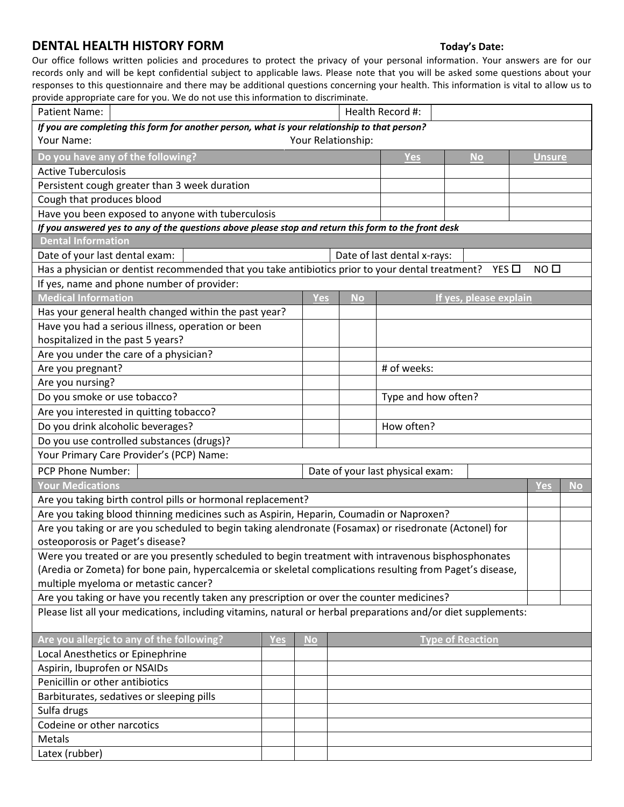## **DENTAL HEALTH HISTORY FORM Today's Date:**

Our office follows written policies and procedures to protect the privacy of your personal information. Your answers are for our records only and will be kept confidential subject to applicable laws. Please note that you will be asked some questions about your responses to this questionnaire and there may be additional questions concerning your health. This information is vital to allow us to provide appropriate care for you. We do not use this information to discriminate.

| worlde appropriate care for your free do not doe this imormation to discriminate.<br>Health Record #:<br>Patient Name:            |     |            |            |                     |                         |                             |           |  |  |  |  |  |
|-----------------------------------------------------------------------------------------------------------------------------------|-----|------------|------------|---------------------|-------------------------|-----------------------------|-----------|--|--|--|--|--|
| If you are completing this form for another person, what is your relationship to that person?                                     |     |            |            |                     |                         |                             |           |  |  |  |  |  |
| Your Name:<br>Your Relationship:                                                                                                  |     |            |            |                     |                         |                             |           |  |  |  |  |  |
| Do you have any of the following?                                                                                                 |     |            |            | <b>Yes</b>          | <b>No</b>               | <b>Unsure</b>               |           |  |  |  |  |  |
| <b>Active Tuberculosis</b>                                                                                                        |     |            |            |                     |                         |                             |           |  |  |  |  |  |
| Persistent cough greater than 3 week duration                                                                                     |     |            |            |                     |                         |                             |           |  |  |  |  |  |
| Cough that produces blood                                                                                                         |     |            |            |                     |                         |                             |           |  |  |  |  |  |
| Have you been exposed to anyone with tuberculosis                                                                                 |     |            |            |                     |                         |                             |           |  |  |  |  |  |
| If you answered yes to any of the questions above please stop and return this form to the front desk                              |     |            |            |                     |                         |                             |           |  |  |  |  |  |
| <b>Dental Information</b>                                                                                                         |     |            |            |                     |                         |                             |           |  |  |  |  |  |
| Date of your last dental exam:                                                                                                    |     |            |            |                     |                         | Date of last dental x-rays: |           |  |  |  |  |  |
| Has a physician or dentist recommended that you take antibiotics prior to your dental treatment?<br>NO <sub>0</sub><br>YES $\Box$ |     |            |            |                     |                         |                             |           |  |  |  |  |  |
| If yes, name and phone number of provider:                                                                                        |     |            |            |                     |                         |                             |           |  |  |  |  |  |
| <b>Medical Information</b>                                                                                                        |     | <b>Yes</b> | <b>No</b>  |                     | If yes, please explain  |                             |           |  |  |  |  |  |
| Has your general health changed within the past year?                                                                             |     |            |            |                     |                         |                             |           |  |  |  |  |  |
| Have you had a serious illness, operation or been                                                                                 |     |            |            |                     |                         |                             |           |  |  |  |  |  |
| hospitalized in the past 5 years?                                                                                                 |     |            |            |                     |                         |                             |           |  |  |  |  |  |
| Are you under the care of a physician?                                                                                            |     |            |            |                     |                         |                             |           |  |  |  |  |  |
| Are you pregnant?                                                                                                                 |     |            |            | # of weeks:         |                         |                             |           |  |  |  |  |  |
| Are you nursing?                                                                                                                  |     |            |            |                     |                         |                             |           |  |  |  |  |  |
| Do you smoke or use tobacco?                                                                                                      |     |            |            | Type and how often? |                         |                             |           |  |  |  |  |  |
| Are you interested in quitting tobacco?                                                                                           |     |            |            |                     |                         |                             |           |  |  |  |  |  |
| Do you drink alcoholic beverages?                                                                                                 |     |            | How often? |                     |                         |                             |           |  |  |  |  |  |
| Do you use controlled substances (drugs)?                                                                                         |     |            |            |                     |                         |                             |           |  |  |  |  |  |
| Your Primary Care Provider's (PCP) Name:                                                                                          |     |            |            |                     |                         |                             |           |  |  |  |  |  |
| PCP Phone Number:<br>Date of your last physical exam:                                                                             |     |            |            |                     |                         |                             |           |  |  |  |  |  |
| <b>Your Medications</b>                                                                                                           |     |            |            |                     |                         |                             | <b>No</b> |  |  |  |  |  |
| Are you taking birth control pills or hormonal replacement?                                                                       |     |            |            |                     |                         |                             |           |  |  |  |  |  |
| Are you taking blood thinning medicines such as Aspirin, Heparin, Coumadin or Naproxen?                                           |     |            |            |                     |                         |                             |           |  |  |  |  |  |
| Are you taking or are you scheduled to begin taking alendronate (Fosamax) or risedronate (Actonel) for                            |     |            |            |                     |                         |                             |           |  |  |  |  |  |
| osteoporosis or Paget's disease?                                                                                                  |     |            |            |                     |                         |                             |           |  |  |  |  |  |
| Were you treated or are you presently scheduled to begin treatment with intravenous bisphosphonates                               |     |            |            |                     |                         |                             |           |  |  |  |  |  |
| (Aredia or Zometa) for bone pain, hypercalcemia or skeletal complications resulting from Paget's disease,                         |     |            |            |                     |                         |                             |           |  |  |  |  |  |
| multiple myeloma or metastic cancer?                                                                                              |     |            |            |                     |                         |                             |           |  |  |  |  |  |
| Are you taking or have you recently taken any prescription or over the counter medicines?                                         |     |            |            |                     |                         |                             |           |  |  |  |  |  |
| Please list all your medications, including vitamins, natural or herbal preparations and/or diet supplements:                     |     |            |            |                     |                         |                             |           |  |  |  |  |  |
| Are you allergic to any of the following?                                                                                         | Yes | <b>No</b>  |            |                     | <b>Type of Reaction</b> |                             |           |  |  |  |  |  |
| Local Anesthetics or Epinephrine                                                                                                  |     |            |            |                     |                         |                             |           |  |  |  |  |  |
| Aspirin, Ibuprofen or NSAIDs                                                                                                      |     |            |            |                     |                         |                             |           |  |  |  |  |  |
| Penicillin or other antibiotics                                                                                                   |     |            |            |                     |                         |                             |           |  |  |  |  |  |
| Barbiturates, sedatives or sleeping pills                                                                                         |     |            |            |                     |                         |                             |           |  |  |  |  |  |
| Sulfa drugs                                                                                                                       |     |            |            |                     |                         |                             |           |  |  |  |  |  |
| Codeine or other narcotics                                                                                                        |     |            |            |                     |                         |                             |           |  |  |  |  |  |
| Metals                                                                                                                            |     |            |            |                     |                         |                             |           |  |  |  |  |  |
| Latex (rubber)                                                                                                                    |     |            |            |                     |                         |                             |           |  |  |  |  |  |